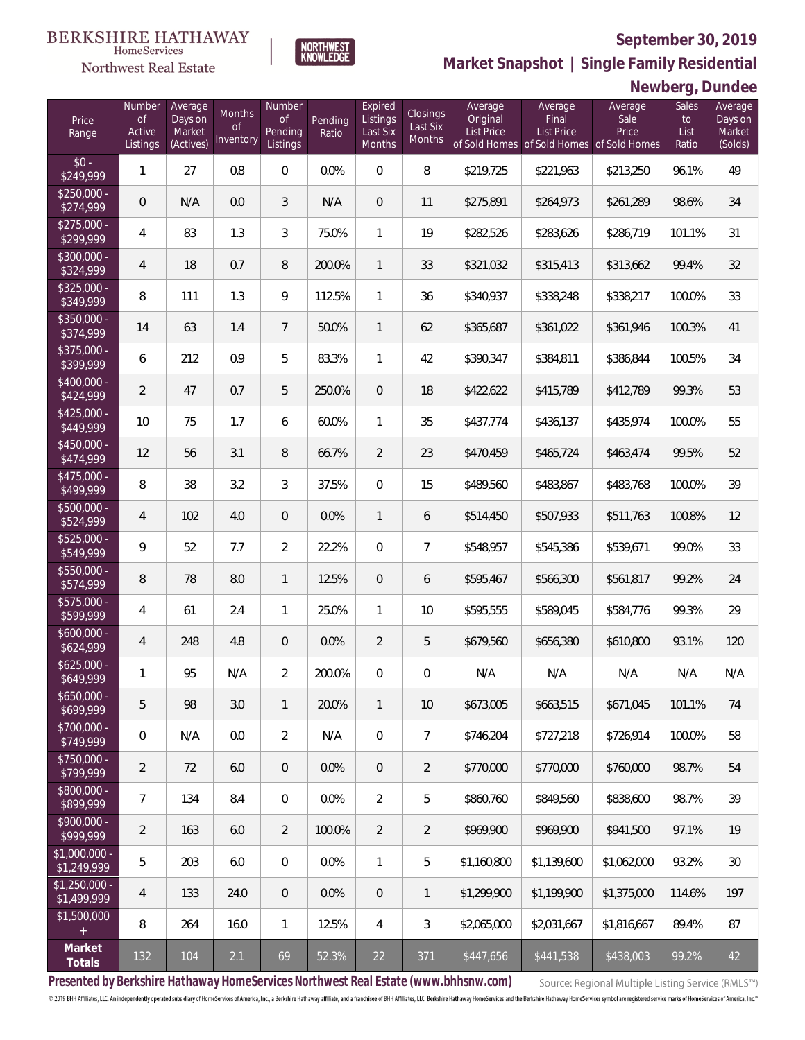## **September 30, 2019**



**NORTHWEST**<br>KNOWLEDGE

Northwest Real Estate

**Market Snapshot | Single Family Residential**

## **Newberg, Dundee**

| Price<br>Range                | Number<br>of<br>Active<br>Listings | Average<br>Days on<br>Market<br>(Actives) | Months<br>Οf<br>Inventory | Number<br>Οf<br>Pending<br>Listings | Pending<br>Ratio | Expired<br>Listings<br>Last Six<br>Months | Closings<br>Last Six<br>Months | Average<br>Original<br><b>List Price</b> | Average<br>Final<br><b>List Price</b><br>of Sold Homes of Sold Homes of Sold Homes | Average<br>Sale<br>Price | Sales<br>to<br>List<br>Ratio | Average<br>Days on<br>Market<br>(Solds) |
|-------------------------------|------------------------------------|-------------------------------------------|---------------------------|-------------------------------------|------------------|-------------------------------------------|--------------------------------|------------------------------------------|------------------------------------------------------------------------------------|--------------------------|------------------------------|-----------------------------------------|
| $$0 -$<br>\$249,999           | $\mathbf{1}$                       | 27                                        | 0.8                       | $\overline{0}$                      | 0.0%             | $\Omega$                                  | 8                              | \$219,725                                | \$221,963                                                                          | \$213,250                | 96.1%                        | 49                                      |
| $$250,000 -$<br>\$274,999     | $\overline{0}$                     | N/A                                       | 0.0                       | 3                                   | N/A              | $\overline{0}$                            | 11                             | \$275,891                                | \$264,973                                                                          | \$261,289                | 98.6%                        | 34                                      |
| $$275,000 -$<br>\$299,999     | $\overline{4}$                     | 83                                        | 1.3                       | 3                                   | 75.0%            | $\mathbf{1}$                              | 19                             | \$282,526                                | \$283,626                                                                          | \$286,719                | 101.1%                       | 31                                      |
| $$300,000 -$<br>\$324,999     | 4                                  | 18                                        | 0.7                       | 8                                   | 200.0%           | $\mathbf{1}$                              | 33                             | \$321,032                                | \$315,413                                                                          | \$313,662                | 99.4%                        | 32                                      |
| $$325,000 -$<br>\$349,999     | 8                                  | 111                                       | 1.3                       | 9                                   | 112.5%           | $\mathbf{1}$                              | 36                             | \$340,937                                | \$338,248                                                                          | \$338,217                | 100.0%                       | 33                                      |
| $$350,000 -$<br>\$374,999     | 14                                 | 63                                        | 1.4                       | $7\overline{ }$                     | 50.0%            | $\mathbf{1}$                              | 62                             | \$365,687                                | \$361,022                                                                          | \$361,946                | 100.3%                       | 41                                      |
| $$375,000 -$<br>\$399,999     | 6                                  | 212                                       | 0.9                       | 5                                   | 83.3%            | $\mathbf{1}$                              | 42                             | \$390,347                                | \$384,811                                                                          | \$386,844                | 100.5%                       | 34                                      |
| $$400,000 -$<br>\$424,999     | $\overline{2}$                     | 47                                        | 0.7                       | 5                                   | 250.0%           | $\overline{0}$                            | 18                             | \$422,622                                | \$415,789                                                                          | \$412,789                | 99.3%                        | 53                                      |
| $$425,000 -$<br>\$449,999     | 10                                 | 75                                        | 1.7                       | 6                                   | 60.0%            | $\mathbf{1}$                              | 35                             | \$437,774                                | \$436,137                                                                          | \$435,974                | 100.0%                       | 55                                      |
| \$450,000 -<br>\$474,999      | 12                                 | 56                                        | 3.1                       | 8                                   | 66.7%            | $\overline{2}$                            | 23                             | \$470,459                                | \$465,724                                                                          | \$463,474                | 99.5%                        | 52                                      |
| $$475,000 -$<br>\$499,999     | 8                                  | 38                                        | 3.2                       | 3                                   | 37.5%            | $\overline{0}$                            | 15                             | \$489,560                                | \$483,867                                                                          | \$483,768                | 100.0%                       | 39                                      |
| $$500,000 -$<br>\$524,999     | 4                                  | 102                                       | 4.0                       | $\overline{0}$                      | 0.0%             | $\mathbf{1}$                              | 6                              | \$514,450                                | \$507,933                                                                          | \$511,763                | 100.8%                       | 12                                      |
| $$525,000 -$<br>\$549,999     | 9                                  | 52                                        | 7.7                       | $\overline{2}$                      | 22.2%            | $\mathbf 0$                               | $\overline{7}$                 | \$548,957                                | \$545,386                                                                          | \$539,671                | 99.0%                        | 33                                      |
| $$550,000 -$<br>\$574,999     | 8                                  | 78                                        | 8.0                       | $\mathbf{1}$                        | 12.5%            | $\overline{0}$                            | 6                              | \$595,467                                | \$566,300                                                                          | \$561,817                | 99.2%                        | 24                                      |
| $$575,000 -$<br>\$599,999     | 4                                  | 61                                        | 2.4                       | $\mathbf{1}$                        | 25.0%            | $\mathbf{1}$                              | 10 <sup>°</sup>                | \$595,555                                | \$589,045                                                                          | \$584,776                | 99.3%                        | 29                                      |
| $$600,000 -$<br>\$624,999     | 4                                  | 248                                       | 4.8                       | $\overline{0}$                      | 0.0%             | $\overline{2}$                            | 5                              | \$679,560                                | \$656,380                                                                          | \$610,800                | 93.1%                        | 120                                     |
| $$625,000 -$<br>\$649,999     | 1                                  | 95                                        | N/A                       | $\overline{2}$                      | 200.0%           | $\overline{0}$                            | $\mathbf 0$                    | N/A                                      | N/A                                                                                | N/A                      | N/A                          | N/A                                     |
| $$650,000 -$<br>\$699,999     | 5                                  | 98                                        | 3.0                       | $\mathbf{1}$                        | 20.0%            | $\mathbf{1}$                              | 10                             | \$673,005                                | \$663,515                                                                          | \$671,045                | 101.1%                       | 74                                      |
| $$700,000 -$<br>\$749,999     | $\mathbf 0$                        | N/A                                       | 0.0                       | $\overline{2}$                      | N/A              | $\mathbf 0$                               | $\overline{7}$                 | \$746,204                                | \$727,218                                                                          | \$726,914                | 100.0%                       | 58                                      |
| $$750,000 -$<br>\$799,999     | 2                                  | 72                                        | 6.0                       | $\overline{0}$                      | 0.0%             | $\sqrt{0}$                                | $\overline{2}$                 | \$770,000                                | \$770,000                                                                          | \$760,000                | 98.7%                        | 54                                      |
| $$800,000 -$<br>\$899,999     | 7                                  | 134                                       | 8.4                       | $\overline{0}$                      | 0.0%             | $\overline{2}$                            | 5                              | \$860,760                                | \$849,560                                                                          | \$838,600                | 98.7%                        | 39                                      |
| $$900,000 -$<br>\$999,999     | $\overline{2}$                     | 163                                       | 6.0                       | $\overline{2}$                      | 100.0%           | $\overline{2}$                            | $\overline{2}$                 | \$969,900                                | \$969,900                                                                          | \$941,500                | 97.1%                        | 19                                      |
| \$1,000,000 -<br>\$1,249,999  | 5                                  | 203                                       | 6.0                       | $\mathbf 0$                         | 0.0%             | $\mathbf{1}$                              | 5                              | \$1,160,800                              | \$1,139,600                                                                        | \$1,062,000              | 93.2%                        | 30                                      |
| $$1,250,000$ -<br>\$1,499,999 | 4                                  | 133                                       | 24.0                      | $\mathbf 0$                         | 0.0%             | $\sqrt{0}$                                | $\mathbf{1}$                   | \$1,299,900                              | \$1,199,900                                                                        | \$1,375,000              | 114.6%                       | 197                                     |
| \$1,500,000<br>$+$            | 8                                  | 264                                       | 16.0                      | $\mathbf{1}$                        | 12.5%            | $\overline{4}$                            | 3                              | \$2,065,000                              | \$2,031,667                                                                        | \$1,816,667              | 89.4%                        | 87                                      |
| Market<br>Totals              | 132                                | 104                                       | 2.1                       | 69                                  | 52.3%            | 22                                        | 371                            | \$447,656                                | \$441,538                                                                          | \$438,003                | 99.2%                        | 42                                      |

**Presented by Berkshire Hathaway HomeServices Northwest Real Estate (www.bhhsnw.com)**

Source: Regional Multiple Listing Service (RMLS™)

© 2019 BHH Affiliates, LLC. An independently operated subsidiary of HomeServices of America, Inc., a Berkshire Hathaway affiliate, and a franchisee of BHH Affiliates, LLC. Berkshire Hathaway HomeServices and the Berkshire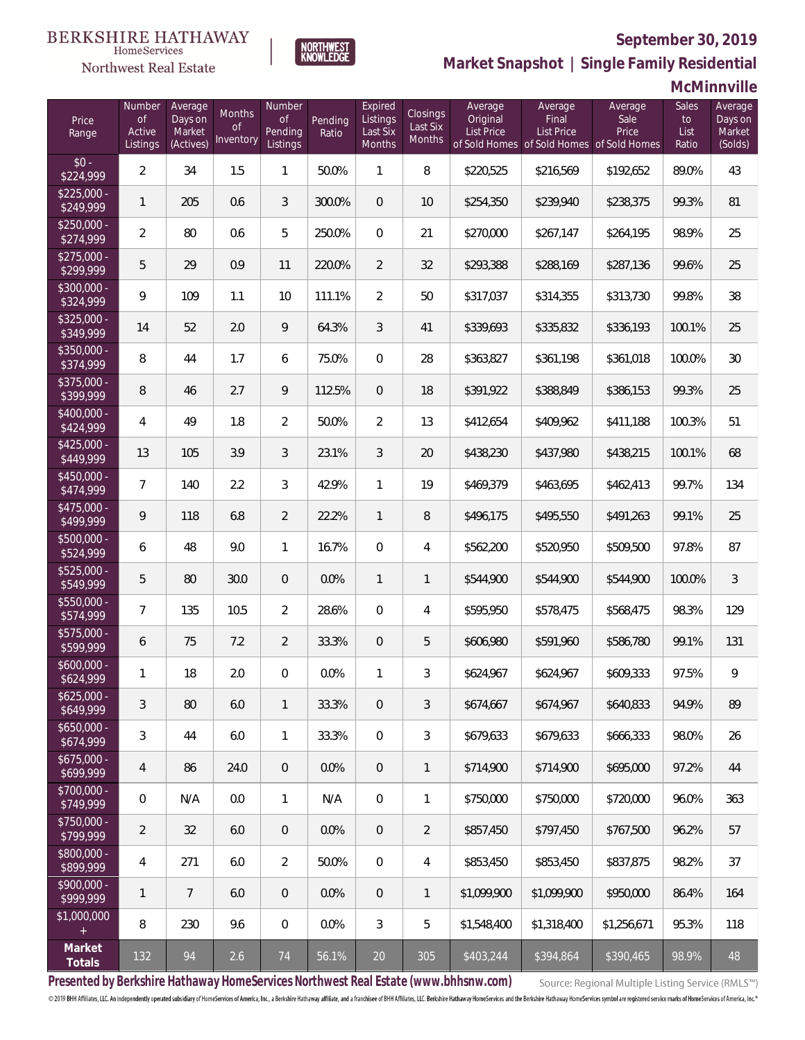## **September 30, 2019**



**NORTHWEST**<br>KNOWLEDGE

Northwest Real Estate

**Market Snapshot | Single Family Residential**

**McMinnville**

| Price<br>Range            | Number<br>of<br>Active<br>Listings | Average<br>Days on<br>Market<br>(Actives) | <b>Months</b><br>0f<br>Inventory | Number<br><b>of</b><br>Pending<br>Listings | Pending<br>Ratio | Expired<br>Listings<br>Last Six<br>Months | Closings<br>Last Six<br><b>Months</b> | Average<br>Original<br>List Price | Average<br>Final<br>List Price<br>of Sold Homes of Sold Homes of Sold Homes | Average<br>Sale<br>Price | Sales<br>to<br>List<br>Ratio | Average<br>Days on<br>Market<br>(Solds) |
|---------------------------|------------------------------------|-------------------------------------------|----------------------------------|--------------------------------------------|------------------|-------------------------------------------|---------------------------------------|-----------------------------------|-----------------------------------------------------------------------------|--------------------------|------------------------------|-----------------------------------------|
| $$0 -$<br>\$224,999       | $\overline{a}$                     | 34                                        | 1.5                              | $\mathbf{1}$                               | 50.0%            | 1                                         | 8                                     | \$220,525                         | \$216,569                                                                   | \$192,652                | 89.0%                        | 43                                      |
| $$225,000 -$<br>\$249,999 | 1                                  | 205                                       | 0.6                              | 3                                          | 300.0%           | $\overline{0}$                            | 10                                    | \$254,350                         | \$239,940                                                                   | \$238,375                | 99.3%                        | 81                                      |
| $$250,000 -$<br>\$274,999 | $\overline{2}$                     | 80                                        | 0.6                              | 5                                          | 250.0%           | $\Omega$                                  | 21                                    | \$270,000                         | \$267,147                                                                   | \$264,195                | 98.9%                        | 25                                      |
| $$275,000 -$<br>\$299,999 | 5                                  | 29                                        | 0.9                              | 11                                         | 220.0%           | $\overline{2}$                            | 32                                    | \$293,388                         | \$288,169                                                                   | \$287,136                | 99.6%                        | 25                                      |
| $$300,000 -$<br>\$324,999 | 9                                  | 109                                       | 1.1                              | 10                                         | 111.1%           | $\overline{2}$                            | 50                                    | \$317,037                         | \$314,355                                                                   | \$313,730                | 99.8%                        | 38                                      |
| $$325,000 -$<br>\$349,999 | 14                                 | 52                                        | 2.0                              | 9                                          | 64.3%            | 3                                         | 41                                    | \$339,693                         | \$335,832                                                                   | \$336,193                | 100.1%                       | 25                                      |
| $$350,000 -$<br>\$374,999 | 8                                  | 44                                        | 1.7                              | 6                                          | 75.0%            | $\overline{0}$                            | 28                                    | \$363,827                         | \$361,198                                                                   | \$361,018                | 100.0%                       | 30                                      |
| $$375,000 -$<br>\$399,999 | 8                                  | 46                                        | 2.7                              | 9                                          | 112.5%           | $\overline{0}$                            | 18                                    | \$391,922                         | \$388,849                                                                   | \$386,153                | 99.3%                        | 25                                      |
| $$400,000 -$<br>\$424,999 | 4                                  | 49                                        | 1.8                              | $\overline{2}$                             | 50.0%            | 2                                         | 13                                    | \$412,654                         | \$409,962                                                                   | \$411,188                | 100.3%                       | 51                                      |
| $$425,000 -$<br>\$449,999 | 13                                 | 105                                       | 3.9                              | 3                                          | 23.1%            | 3                                         | 20                                    | \$438,230                         | \$437,980                                                                   | \$438,215                | 100.1%                       | 68                                      |
| $$450,000 -$<br>\$474,999 | $\overline{7}$                     | 140                                       | 2.2                              | 3                                          | 42.9%            | $\mathbf{1}$                              | 19                                    | \$469,379                         | \$463,695                                                                   | \$462,413                | 99.7%                        | 134                                     |
| $$475,000 -$<br>\$499,999 | 9                                  | 118                                       | 6.8                              | $\overline{2}$                             | 22.2%            | $\overline{1}$                            | 8                                     | \$496,175                         | \$495,550                                                                   | \$491,263                | 99.1%                        | 25                                      |
| $$500,000 -$<br>\$524,999 | 6                                  | 48                                        | 9.0                              | $\mathbf{1}$                               | 16.7%            | $\overline{0}$                            | $\overline{4}$                        | \$562,200                         | \$520,950                                                                   | \$509,500                | 97.8%                        | 87                                      |
| $$525,000 -$<br>\$549,999 | 5                                  | 80                                        | 30.0                             | $\overline{0}$                             | 0.0%             | $\mathbf{1}$                              | $\mathbf{1}$                          | \$544,900                         | \$544,900                                                                   | \$544,900                | 100.0%                       | $\mathfrak{Z}$                          |
| $$550,000 -$<br>\$574,999 | 7                                  | 135                                       | 10.5                             | $\overline{2}$                             | 28.6%            | $\overline{0}$                            | $\overline{4}$                        | \$595,950                         | \$578,475                                                                   | \$568,475                | 98.3%                        | 129                                     |
| $$575,000 -$<br>\$599,999 | 6                                  | 75                                        | 7.2                              | $\overline{2}$                             | 33.3%            | $\overline{0}$                            | 5                                     | \$606,980                         | \$591,960                                                                   | \$586,780                | 99.1%                        | 131                                     |
| $$600,000 -$<br>\$624,999 | 1                                  | 18                                        | 2.0                              | $\overline{0}$                             | 0.0%             | $\mathbf{1}$                              | 3                                     | \$624,967                         | \$624,967                                                                   | \$609,333                | 97.5%                        | 9                                       |
| $$625,000 -$<br>\$649,999 | 3                                  | 80                                        | 6.0                              | $\mathbf{1}$                               | 33.3%            | $\overline{0}$                            | 3                                     | \$674,667                         | \$674,967                                                                   | \$640,833                | 94.9%                        | 89                                      |
| $$650,000 -$<br>\$674,999 | 3                                  | 44                                        | 6.0                              | $\mathbf{1}$                               | 33.3%            | $\boldsymbol{0}$                          | $\mathfrak{Z}$                        | \$679,633                         | \$679,633                                                                   | \$666,333                | 98.0%                        | 26                                      |
| $$675,000 -$<br>\$699,999 | $\overline{4}$                     | 86                                        | 24.0                             | $\overline{0}$                             | 0.0%             | $\overline{0}$                            | $\mathbf{1}$                          | \$714,900                         | \$714,900                                                                   | \$695,000                | 97.2%                        | 44                                      |
| $$700,000 -$<br>\$749,999 | $\overline{0}$                     | N/A                                       | 0.0                              | $\mathbf{1}$                               | N/A              | $\boldsymbol{0}$                          | 1                                     | \$750,000                         | \$750,000                                                                   | \$720,000                | 96.0%                        | 363                                     |
| $$750,000 -$<br>\$799,999 | $\overline{2}$                     | 32                                        | 6.0                              | $\overline{0}$                             | 0.0%             | $\overline{0}$                            | $\overline{2}$                        | \$857,450                         | \$797,450                                                                   | \$767,500                | 96.2%                        | 57                                      |
| \$800,000 -<br>\$899,999  | 4                                  | 271                                       | 6.0                              | $\overline{2}$                             | 50.0%            | $\boldsymbol{0}$                          | 4                                     | \$853,450                         | \$853,450                                                                   | \$837,875                | 98.2%                        | 37                                      |
| $$900,000 -$<br>\$999,999 | 1                                  | $\overline{7}$                            | 6.0                              | $\overline{0}$                             | 0.0%             | $\overline{0}$                            | $\mathbf{1}$                          | \$1,099,900                       | \$1,099,900                                                                 | \$950,000                | 86.4%                        | 164                                     |
| \$1,000,000<br>$+$        | 8                                  | 230                                       | 9.6                              | $\mathbf 0$                                | 0.0%             | $\mathfrak{Z}$                            | 5                                     | \$1,548,400                       | \$1,318,400                                                                 | \$1,256,671              | 95.3%                        | 118                                     |
| Market<br>Totals          | 132                                | 94                                        | 2.6                              | 74                                         | 56.1%            | 20                                        | 305                                   | \$403,244                         | \$394,864                                                                   | \$390,465                | 98.9%                        | 48                                      |

**Presented by Berkshire Hathaway HomeServices Northwest Real Estate (www.bhhsnw.com)**

Source: Regional Multiple Listing Service (RMLS™)

© 2019 BHH Affiliates, LLC. An independently operated subsidiary of HomeServices of America, Inc., a Berkshire Hathaway affiliate, and a franchisee of BHH Affiliates, LLC. Berkshire Hathaway HomeServices and the Berkshire